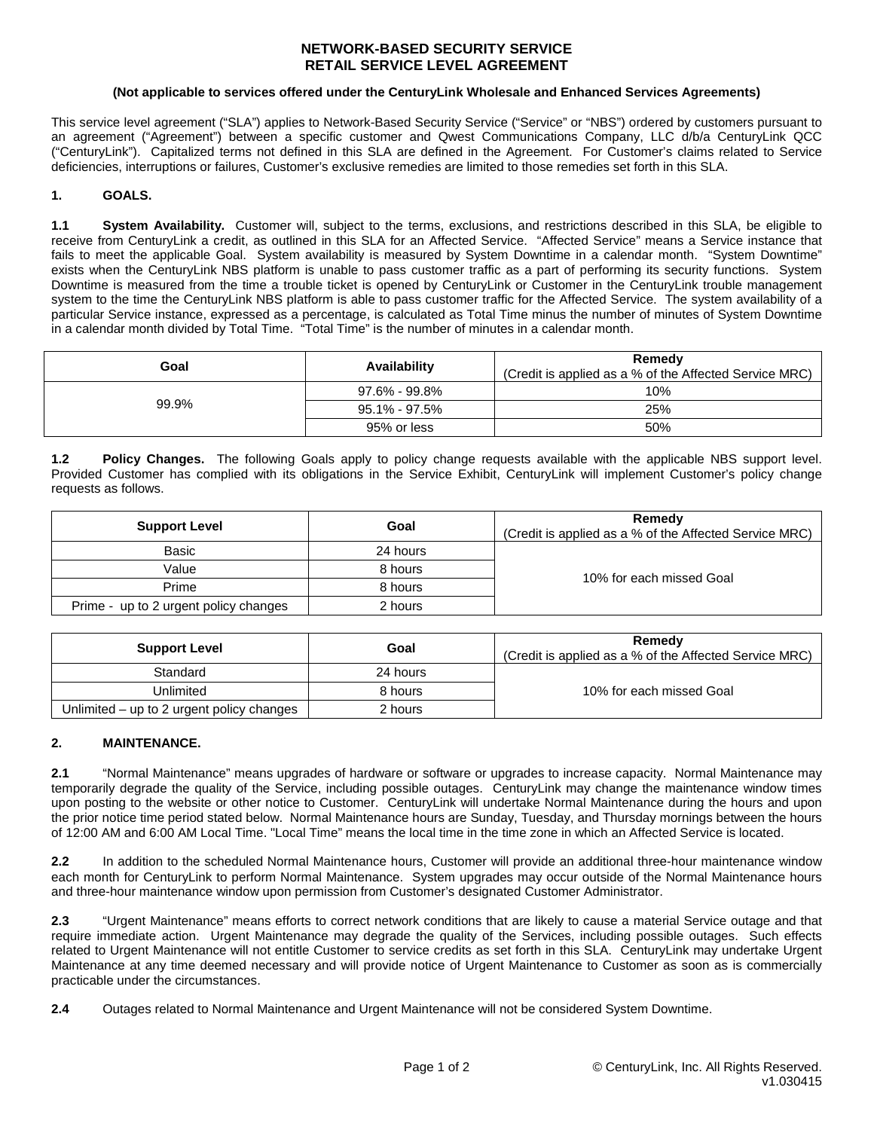### **NETWORK-BASED SECURITY SERVICE RETAIL SERVICE LEVEL AGREEMENT**

#### **(Not applicable to services offered under the CenturyLink Wholesale and Enhanced Services Agreements)**

This service level agreement ("SLA") applies to Network-Based Security Service ("Service" or "NBS") ordered by customers pursuant to an agreement ("Agreement") between a specific customer and Qwest Communications Company, LLC d/b/a CenturyLink QCC ("CenturyLink"). Capitalized terms not defined in this SLA are defined in the Agreement. For Customer's claims related to Service deficiencies, interruptions or failures, Customer's exclusive remedies are limited to those remedies set forth in this SLA.

# **1. GOALS.**

**1.1 System Availability.** Customer will, subject to the terms, exclusions, and restrictions described in this SLA, be eligible to receive from CenturyLink a credit, as outlined in this SLA for an Affected Service. "Affected Service" means a Service instance that fails to meet the applicable Goal. System availability is measured by System Downtime in a calendar month. "System Downtime" exists when the CenturyLink NBS platform is unable to pass customer traffic as a part of performing its security functions. System Downtime is measured from the time a trouble ticket is opened by CenturyLink or Customer in the CenturyLink trouble management system to the time the CenturyLink NBS platform is able to pass customer traffic for the Affected Service. The system availability of a particular Service instance, expressed as a percentage, is calculated as Total Time minus the number of minutes of System Downtime in a calendar month divided by Total Time. "Total Time" is the number of minutes in a calendar month.

| Goal  | Availability  | Remedy<br>(Credit is applied as a % of the Affected Service MRC) |
|-------|---------------|------------------------------------------------------------------|
| 99.9% | 97.6% - 99.8% | 10%                                                              |
|       | 95.1% - 97.5% | 25%                                                              |
|       | 95% or less   | 50%                                                              |

**1.2 Policy Changes.** The following Goals apply to policy change requests available with the applicable NBS support level. Provided Customer has complied with its obligations in the Service Exhibit, CenturyLink will implement Customer's policy change requests as follows.

| <b>Support Level</b>                  | Goal     | Remedy<br>(Credit is applied as a % of the Affected Service MRC) |
|---------------------------------------|----------|------------------------------------------------------------------|
| Basic                                 | 24 hours | 10% for each missed Goal                                         |
| Value                                 | 8 hours  |                                                                  |
| Prime                                 | 8 hours  |                                                                  |
| Prime - up to 2 urgent policy changes | 2 hours  |                                                                  |

| <b>Support Level</b>                        | Goal     | Remedy<br>(Credit is applied as a % of the Affected Service MRC) |
|---------------------------------------------|----------|------------------------------------------------------------------|
| Standard                                    | 24 hours |                                                                  |
| Unlimited                                   | 8 hours  | 10% for each missed Goal                                         |
| Unlimited $-$ up to 2 urgent policy changes | 2 hours  |                                                                  |

#### **2. MAINTENANCE.**

**2.1** "Normal Maintenance" means upgrades of hardware or software or upgrades to increase capacity. Normal Maintenance may temporarily degrade the quality of the Service, including possible outages. CenturyLink may change the maintenance window times upon posting to the website or other notice to Customer. CenturyLink will undertake Normal Maintenance during the hours and upon the prior notice time period stated below. Normal Maintenance hours are Sunday, Tuesday, and Thursday mornings between the hours of 12:00 AM and 6:00 AM Local Time. "Local Time" means the local time in the time zone in which an Affected Service is located.

**2.2** In addition to the scheduled Normal Maintenance hours, Customer will provide an additional three-hour maintenance window each month for CenturyLink to perform Normal Maintenance. System upgrades may occur outside of the Normal Maintenance hours and three-hour maintenance window upon permission from Customer's designated Customer Administrator.

**2.3** "Urgent Maintenance" means efforts to correct network conditions that are likely to cause a material Service outage and that require immediate action. Urgent Maintenance may degrade the quality of the Services, including possible outages. Such effects related to Urgent Maintenance will not entitle Customer to service credits as set forth in this SLA. CenturyLink may undertake Urgent Maintenance at any time deemed necessary and will provide notice of Urgent Maintenance to Customer as soon as is commercially practicable under the circumstances.

**2.4** Outages related to Normal Maintenance and Urgent Maintenance will not be considered System Downtime.